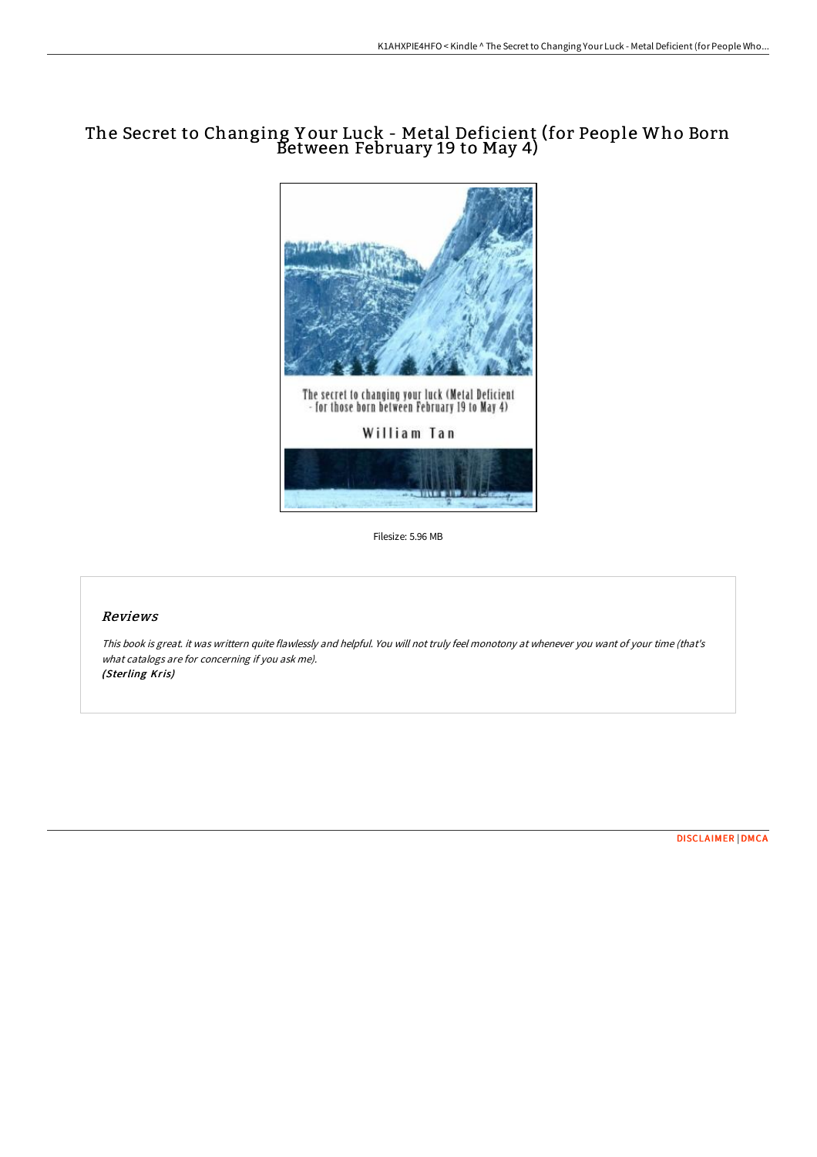## The Secret to Changing Y our Luck - Metal Deficient (for People Who Born Between February 19 to May 4)



Filesize: 5.96 MB

## Reviews

This book is great. it was writtern quite flawlessly and helpful. You will not truly feel monotony at whenever you want of your time (that's what catalogs are for concerning if you ask me). (Sterling Kris)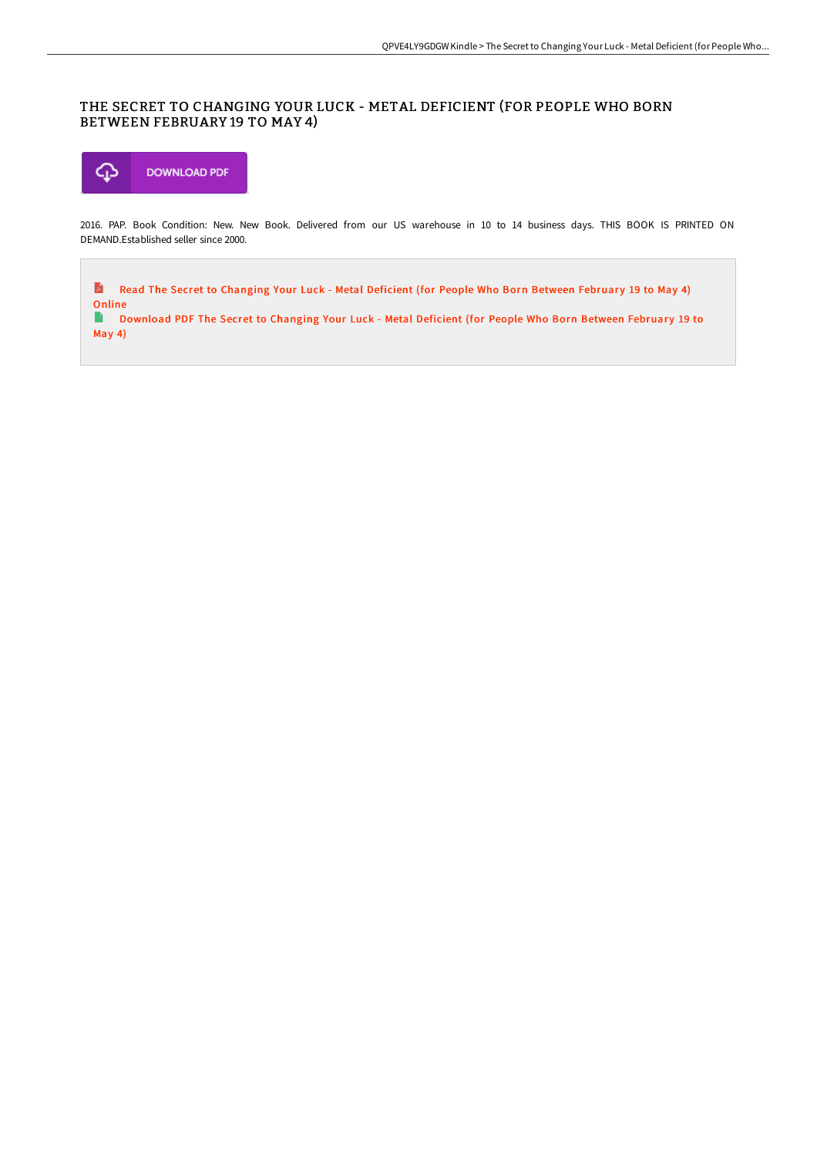## THE SECRET TO CHANGING YOUR LUCK - METAL DEFICIENT (FOR PEOPLE WHO BORN BETWEEN FEBRUARY 19 TO MAY 4)



2016. PAP. Book Condition: New. New Book. Delivered from our US warehouse in 10 to 14 business days. THIS BOOK IS PRINTED ON DEMAND.Established seller since 2000.

A Read The Secret to [Changing](http://techno-pub.tech/the-secret-to-changing-your-luck-metal-deficient.html) Your Luck - Metal Deficient (for People Who Born Between February 19 to May 4) Online

 $\mathbf{E}$ [Download](http://techno-pub.tech/the-secret-to-changing-your-luck-metal-deficient.html) PDF The Secret to Changing Your Luck - Metal Deficient (for People Who Born Between February 19 to May 4)